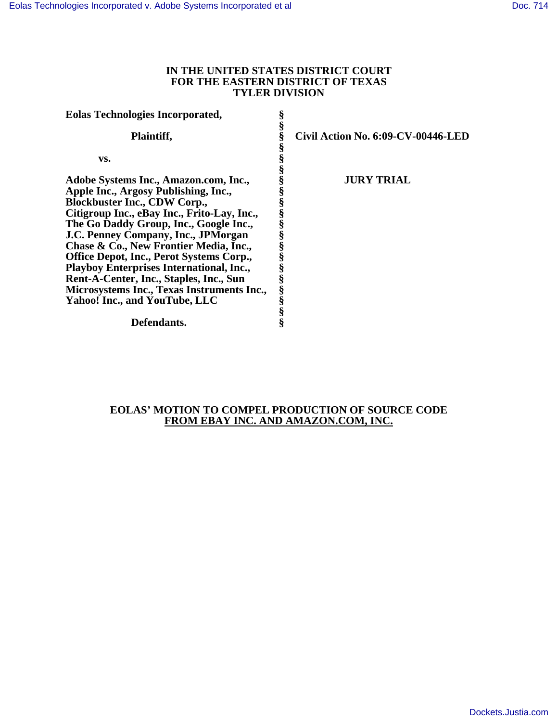### **IN THE UNITED STATES DISTRICT COURT FOR THE EASTERN DISTRICT OF TEXAS TYLER DIVISION**

| <b>Eolas Technologies Incorporated,</b>     |      |
|---------------------------------------------|------|
|                                             |      |
| Plaintiff,                                  | Civi |
|                                             |      |
| VS.                                         |      |
|                                             |      |
| Adobe Systems Inc., Amazon.com, Inc.,       |      |
| Apple Inc., Argosy Publishing, Inc.,        |      |
| <b>Blockbuster Inc., CDW Corp.,</b>         |      |
| Citigroup Inc., eBay Inc., Frito-Lay, Inc., |      |
| The Go Daddy Group, Inc., Google Inc.,      |      |
| J.C. Penney Company, Inc., JPMorgan         |      |
| Chase & Co., New Frontier Media, Inc.,      |      |
| Office Depot, Inc., Perot Systems Corp.,    |      |
| Playboy Enterprises International, Inc.,    |      |
| Rent-A-Center, Inc., Staples, Inc., Sun     |      |
| Microsystems Inc., Texas Instruments Inc.,  |      |
| Yahoo! Inc., and YouTube, LLC               |      |
|                                             |      |
| Defendants.                                 |      |

**Plaintiff, § Civil Action No. 6:09-CV-00446-LED** 

**JURY TRIAL** 

## **EOLAS' MOTION TO COMPEL PRODUCTION OF SOURCE CODE FROM EBAY INC. AND AMAZON.COM, INC.**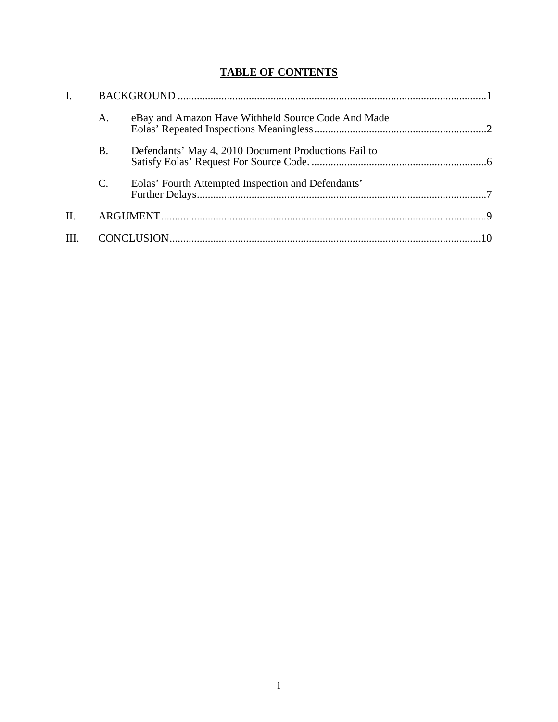# **TABLE OF CONTENTS**

| $\mathbf{I}$ . |                |                                                      |  |
|----------------|----------------|------------------------------------------------------|--|
|                | А.             | eBay and Amazon Have Withheld Source Code And Made   |  |
|                | Β.             | Defendants' May 4, 2010 Document Productions Fail to |  |
|                | $\mathbf{C}$ . | Eolas' Fourth Attempted Inspection and Defendants'   |  |
| Π.             |                |                                                      |  |
| III.           |                |                                                      |  |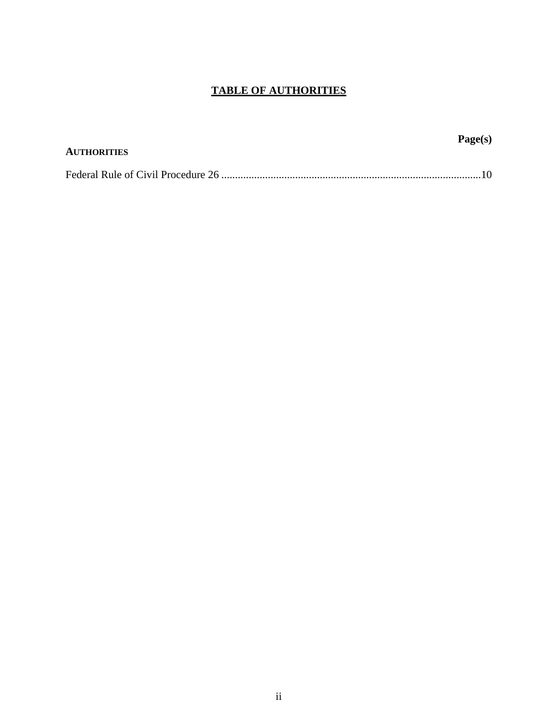# **TABLE OF AUTHORITIES**

|                    | Page(s) |
|--------------------|---------|
| <b>AUTHORITIES</b> |         |
|                    |         |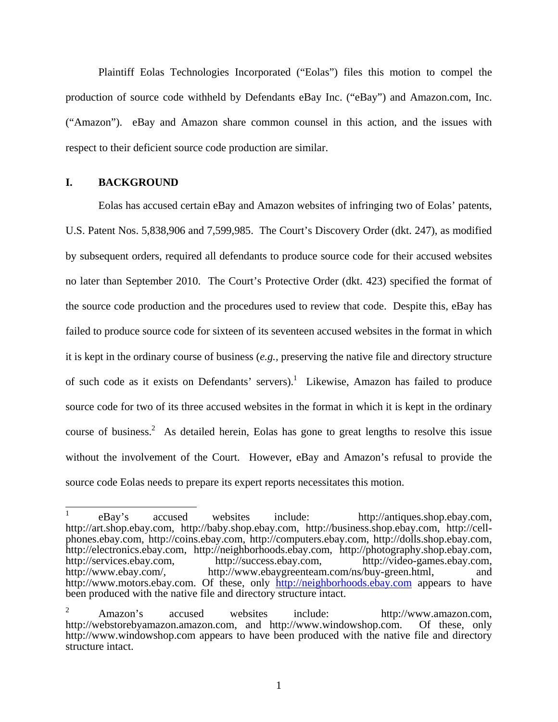Plaintiff Eolas Technologies Incorporated ("Eolas") files this motion to compel the production of source code withheld by Defendants eBay Inc. ("eBay") and Amazon.com, Inc. ("Amazon"). eBay and Amazon share common counsel in this action, and the issues with respect to their deficient source code production are similar.

## **I. BACKGROUND**

 $\overline{1}$ 

Eolas has accused certain eBay and Amazon websites of infringing two of Eolas' patents, U.S. Patent Nos. 5,838,906 and 7,599,985. The Court's Discovery Order (dkt. 247), as modified by subsequent orders, required all defendants to produce source code for their accused websites no later than September 2010. The Court's Protective Order (dkt. 423) specified the format of the source code production and the procedures used to review that code. Despite this, eBay has failed to produce source code for sixteen of its seventeen accused websites in the format in which it is kept in the ordinary course of business (*e.g.,* preserving the native file and directory structure of such code as it exists on Defendants' servers).<sup>1</sup> Likewise, Amazon has failed to produce source code for two of its three accused websites in the format in which it is kept in the ordinary course of business.<sup>2</sup> As detailed herein, Eolas has gone to great lengths to resolve this issue without the involvement of the Court. However, eBay and Amazon's refusal to provide the source code Eolas needs to prepare its expert reports necessitates this motion.

1

<sup>1</sup> eBay's accused websites include: http://antiques.shop.ebay.com, http://art.shop.ebay.com, http://baby.shop.ebay.com, http://business.shop.ebay.com, http://cellphones.ebay.com, http://coins.ebay.com, http://computers.ebay.com, http://dolls.shop.ebay.com, http://electronics.ebay.com, http://neighborhoods.ebay.com, http://photography.shop.ebay.com, http://services.ebay.com, http://success.ebay.com, http://video-games.ebay.com, http://www.ebay.com/, http://www.ebaygreenteam.com/ns/buy-green.html, and http://www.motors.ebay.com. Of these, only http://neighborhoods.ebay.com appears to have been produced with the native file and directory structure intact.

<sup>2</sup> Amazon's accused websites include: http://www.amazon.com, http://webstorebyamazon.amazon.com, and http://www.windowshop.com. Of these, only http://www.windowshop.com appears to have been produced with the native file and directory structure intact.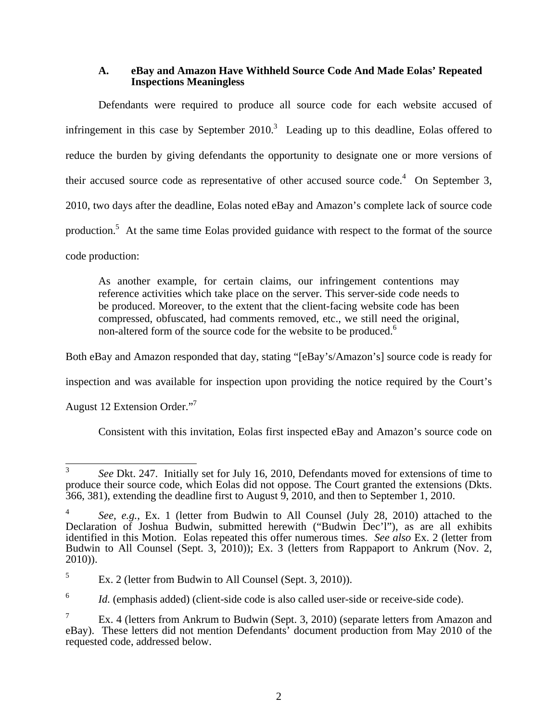## **A. eBay and Amazon Have Withheld Source Code And Made Eolas' Repeated Inspections Meaningless**

Defendants were required to produce all source code for each website accused of infringement in this case by September  $2010$ .<sup>3</sup> Leading up to this deadline, Eolas offered to reduce the burden by giving defendants the opportunity to designate one or more versions of their accused source code as representative of other accused source code.<sup>4</sup> On September 3, 2010, two days after the deadline, Eolas noted eBay and Amazon's complete lack of source code production.<sup>5</sup> At the same time Eolas provided guidance with respect to the format of the source code production:

As another example, for certain claims, our infringement contentions may reference activities which take place on the server. This server-side code needs to be produced. Moreover, to the extent that the client-facing website code has been compressed, obfuscated, had comments removed, etc., we still need the original, non-altered form of the source code for the website to be produced.<sup>6</sup>

Both eBay and Amazon responded that day, stating "[eBay's/Amazon's] source code is ready for

inspection and was available for inspection upon providing the notice required by the Court's

August 12 Extension Order."<sup>7</sup>

Consistent with this invitation, Eolas first inspected eBay and Amazon's source code on

 $\frac{1}{3}$  *See* Dkt. 247. Initially set for July 16, 2010, Defendants moved for extensions of time to produce their source code, which Eolas did not oppose. The Court granted the extensions (Dkts.  $366, 381$ , extending the deadline first to August  $9, 2010$ , and then to September 1, 2010.

<sup>4</sup> *See, e.g.*, Ex. 1 (letter from Budwin to All Counsel (July 28, 2010) attached to the Declaration of Joshua Budwin, submitted herewith ("Budwin Dec'l"), as are all exhibits identified in this Motion. Eolas repeated this offer numerous times. *See also* Ex. 2 (letter from Budwin to All Counsel (Sept. 3, 2010)); Ex. 3 (letters from Rappaport to Ankrum (Nov. 2, 2010)).

<sup>5</sup> Ex. 2 (letter from Budwin to All Counsel (Sept. 3, 2010)).

<sup>6</sup> *Id.* (emphasis added) (client-side code is also called user-side or receive-side code).

<sup>7</sup> Ex. 4 (letters from Ankrum to Budwin (Sept. 3, 2010) (separate letters from Amazon and eBay). These letters did not mention Defendants' document production from May 2010 of the requested code, addressed below.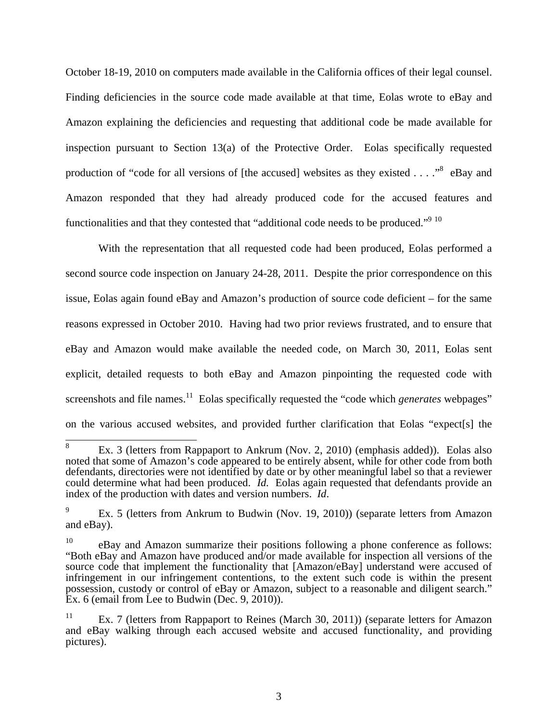October 18-19, 2010 on computers made available in the California offices of their legal counsel. Finding deficiencies in the source code made available at that time, Eolas wrote to eBay and Amazon explaining the deficiencies and requesting that additional code be made available for inspection pursuant to Section 13(a) of the Protective Order. Eolas specifically requested production of "code for all versions of [the accused] websites as they existed  $\dots$ ."<sup>8</sup> eBay and Amazon responded that they had already produced code for the accused features and functionalities and that they contested that "additional code needs to be produced."<sup>9 10</sup>

With the representation that all requested code had been produced, Eolas performed a second source code inspection on January 24-28, 2011. Despite the prior correspondence on this issue, Eolas again found eBay and Amazon's production of source code deficient – for the same reasons expressed in October 2010. Having had two prior reviews frustrated, and to ensure that eBay and Amazon would make available the needed code, on March 30, 2011, Eolas sent explicit, detailed requests to both eBay and Amazon pinpointing the requested code with screenshots and file names.<sup>11</sup> Eolas specifically requested the "code which *generates* webpages" on the various accused websites, and provided further clarification that Eolas "expect[s] the

 8 Ex. 3 (letters from Rappaport to Ankrum (Nov. 2, 2010) (emphasis added)). Eolas also noted that some of Amazon's code appeared to be entirely absent, while for other code from both defendants, directories were not identified by date or by other meaningful label so that a reviewer could determine what had been produced. *Id.* Eolas again requested that defendants provide an index of the production with dates and version numbers. *Id*.

<sup>9</sup> Ex. 5 (letters from Ankrum to Budwin (Nov. 19, 2010)) (separate letters from Amazon and eBay).

 $10$  eBay and Amazon summarize their positions following a phone conference as follows: "Both eBay and Amazon have produced and/or made available for inspection all versions of the source code that implement the functionality that [Amazon/eBay] understand were accused of infringement in our infringement contentions, to the extent such code is within the present possession, custody or control of eBay or Amazon, subject to a reasonable and diligent search." Ex. 6 (email from Lee to Budwin (Dec. 9, 2010)).

<sup>&</sup>lt;sup>11</sup> Ex. 7 (letters from Rappaport to Reines (March 30, 2011)) (separate letters for Amazon and eBay walking through each accused website and accused functionality, and providing pictures).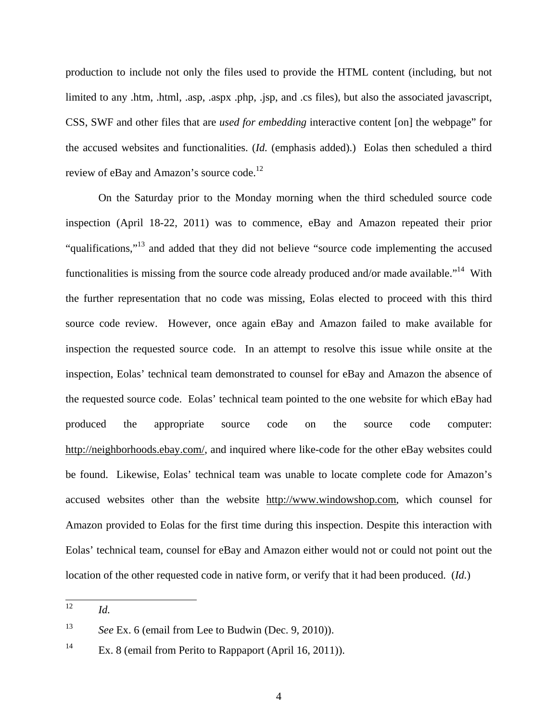production to include not only the files used to provide the HTML content (including, but not limited to any .htm, .html, .asp, .aspx .php, .jsp, and .cs files), but also the associated javascript, CSS, SWF and other files that are *used for embedding* interactive content [on] the webpage" for the accused websites and functionalities. (*Id.* (emphasis added).) Eolas then scheduled a third review of eBay and Amazon's source code.<sup>12</sup>

On the Saturday prior to the Monday morning when the third scheduled source code inspection (April 18-22, 2011) was to commence, eBay and Amazon repeated their prior "qualifications,"13 and added that they did not believe "source code implementing the accused functionalities is missing from the source code already produced and/or made available."<sup>14</sup> With the further representation that no code was missing, Eolas elected to proceed with this third source code review. However, once again eBay and Amazon failed to make available for inspection the requested source code. In an attempt to resolve this issue while onsite at the inspection, Eolas' technical team demonstrated to counsel for eBay and Amazon the absence of the requested source code. Eolas' technical team pointed to the one website for which eBay had produced the appropriate source code on the source code computer: http://neighborhoods.ebay.com/, and inquired where like-code for the other eBay websites could be found. Likewise, Eolas' technical team was unable to locate complete code for Amazon's accused websites other than the website http://www.windowshop.com, which counsel for Amazon provided to Eolas for the first time during this inspection. Despite this interaction with Eolas' technical team, counsel for eBay and Amazon either would not or could not point out the location of the other requested code in native form, or verify that it had been produced. (*Id.*)

 $\overline{12}$  $Id$ 

<sup>13</sup> *See* Ex. 6 (email from Lee to Budwin (Dec. 9, 2010)).

<sup>&</sup>lt;sup>14</sup> Ex. 8 (email from Perito to Rappaport (April 16, 2011)).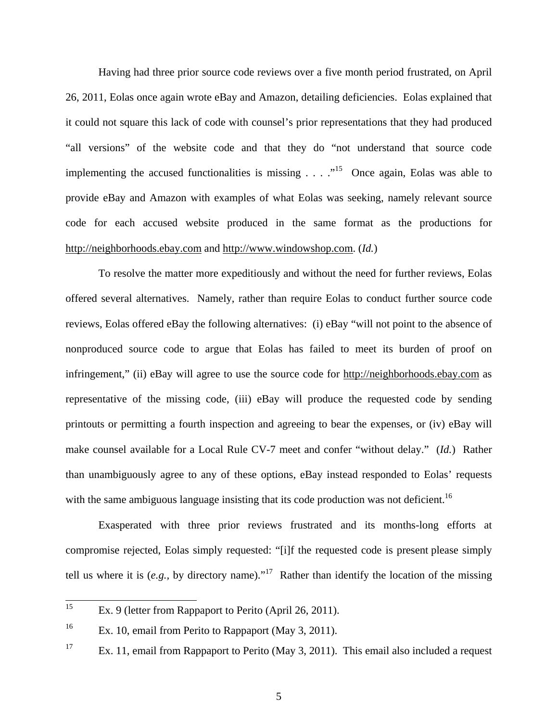Having had three prior source code reviews over a five month period frustrated, on April 26, 2011, Eolas once again wrote eBay and Amazon, detailing deficiencies. Eolas explained that it could not square this lack of code with counsel's prior representations that they had produced "all versions" of the website code and that they do "not understand that source code implementing the accused functionalities is missing  $\ldots$  ..."<sup>15</sup> Once again, Eolas was able to provide eBay and Amazon with examples of what Eolas was seeking, namely relevant source code for each accused website produced in the same format as the productions for http://neighborhoods.ebay.com and http://www.windowshop.com. (*Id.*)

To resolve the matter more expeditiously and without the need for further reviews, Eolas offered several alternatives. Namely, rather than require Eolas to conduct further source code reviews, Eolas offered eBay the following alternatives: (i) eBay "will not point to the absence of nonproduced source code to argue that Eolas has failed to meet its burden of proof on infringement," (ii) eBay will agree to use the source code for http://neighborhoods.ebay.com as representative of the missing code, (iii) eBay will produce the requested code by sending printouts or permitting a fourth inspection and agreeing to bear the expenses, or (iv) eBay will make counsel available for a Local Rule CV-7 meet and confer "without delay." (*Id.*) Rather than unambiguously agree to any of these options, eBay instead responded to Eolas' requests with the same ambiguous language insisting that its code production was not deficient.<sup>16</sup>

Exasperated with three prior reviews frustrated and its months-long efforts at compromise rejected, Eolas simply requested: "[i]f the requested code is present please simply tell us where it is  $(e.g., by directory name).$ <sup>17</sup> Rather than identify the location of the missing

<sup>15</sup> Ex. 9 (letter from Rappaport to Perito (April 26, 2011).

<sup>&</sup>lt;sup>16</sup> Ex. 10, email from Perito to Rappaport (May 3, 2011).

<sup>&</sup>lt;sup>17</sup> Ex. 11, email from Rappaport to Perito (May 3, 2011). This email also included a request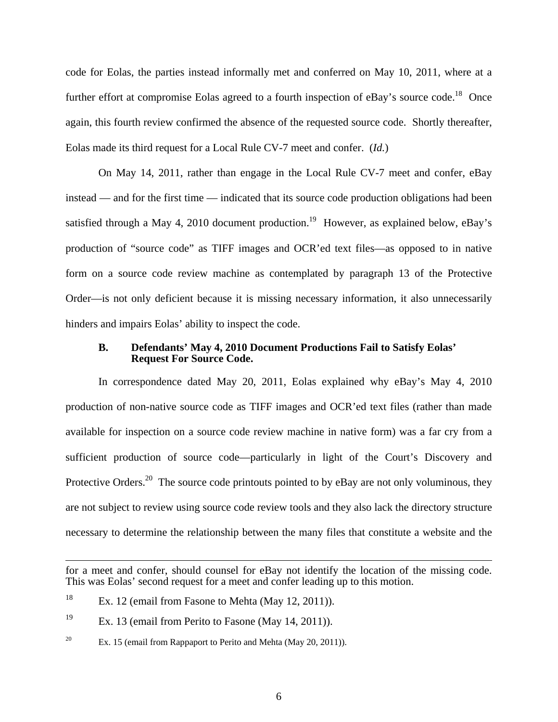code for Eolas, the parties instead informally met and conferred on May 10, 2011, where at a further effort at compromise Eolas agreed to a fourth inspection of eBay's source code.<sup>18</sup> Once again, this fourth review confirmed the absence of the requested source code. Shortly thereafter, Eolas made its third request for a Local Rule CV-7 meet and confer. (*Id.*)

On May 14, 2011, rather than engage in the Local Rule CV-7 meet and confer, eBay instead — and for the first time — indicated that its source code production obligations had been satisfied through a May 4, 2010 document production.<sup>19</sup> However, as explained below, eBay's production of "source code" as TIFF images and OCR'ed text files—as opposed to in native form on a source code review machine as contemplated by paragraph 13 of the Protective Order—is not only deficient because it is missing necessary information, it also unnecessarily hinders and impairs Eolas' ability to inspect the code.

#### **B. Defendants' May 4, 2010 Document Productions Fail to Satisfy Eolas' Request For Source Code.**

In correspondence dated May 20, 2011, Eolas explained why eBay's May 4, 2010 production of non-native source code as TIFF images and OCR'ed text files (rather than made available for inspection on a source code review machine in native form) was a far cry from a sufficient production of source code—particularly in light of the Court's Discovery and Protective Orders.<sup>20</sup> The source code printouts pointed to by eBay are not only voluminous, they are not subject to review using source code review tools and they also lack the directory structure necessary to determine the relationship between the many files that constitute a website and the

<u>.</u>

for a meet and confer, should counsel for eBay not identify the location of the missing code. This was Eolas' second request for a meet and confer leading up to this motion.

<sup>&</sup>lt;sup>18</sup> Ex. 12 (email from Fasone to Mehta (May 12, 2011)).

<sup>&</sup>lt;sup>19</sup> Ex. 13 (email from Perito to Fasone (May 14, 2011)).

<sup>&</sup>lt;sup>20</sup> Ex. 15 (email from Rappaport to Perito and Mehta (May 20, 2011)).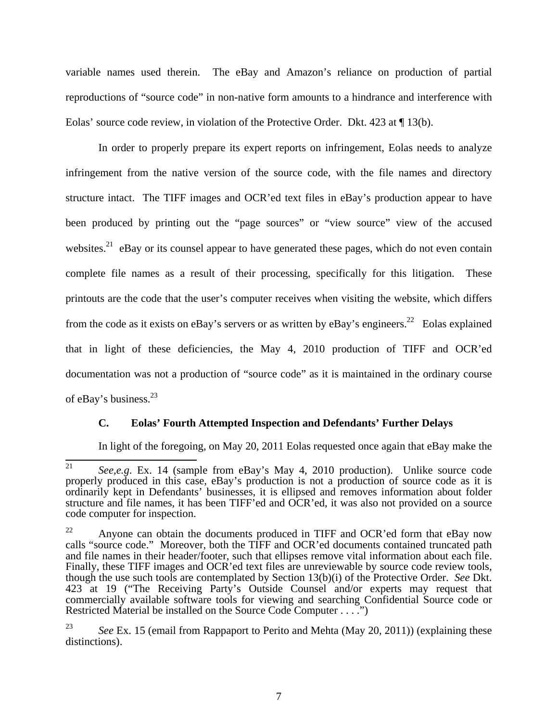variable names used therein. The eBay and Amazon's reliance on production of partial reproductions of "source code" in non-native form amounts to a hindrance and interference with Eolas' source code review, in violation of the Protective Order. Dkt. 423 at ¶ 13(b).

In order to properly prepare its expert reports on infringement, Eolas needs to analyze infringement from the native version of the source code, with the file names and directory structure intact. The TIFF images and OCR'ed text files in eBay's production appear to have been produced by printing out the "page sources" or "view source" view of the accused websites.<sup>21</sup> eBay or its counsel appear to have generated these pages, which do not even contain complete file names as a result of their processing, specifically for this litigation. These printouts are the code that the user's computer receives when visiting the website, which differs from the code as it exists on eBay's servers or as written by eBay's engineers.<sup>22</sup> Eolas explained that in light of these deficiencies, the May 4, 2010 production of TIFF and OCR'ed documentation was not a production of "source code" as it is maintained in the ordinary course of eBay's business.<sup>23</sup>

# **C. Eolas' Fourth Attempted Inspection and Defendants' Further Delays**

In light of the foregoing, on May 20, 2011 Eolas requested once again that eBay make the

 $\overline{21}$ See,e.g. Ex. 14 (sample from eBay's May 4, 2010 production). Unlike source code properly produced in this case, eBay's production is not a production of source code as it is ordinarily kept in Defendants' businesses, it is ellipsed and removes information about folder structure and file names, it has been TIFF'ed and OCR'ed, it was also not provided on a source code computer for inspection.

 $22$  Anyone can obtain the documents produced in TIFF and OCR'ed form that eBay now calls "source code." Moreover, both the TIFF and OCR'ed documents contained truncated path and file names in their header/footer, such that ellipses remove vital information about each file. Finally, these TIFF images and OCR'ed text files are unreviewable by source code review tools, though the use such tools are contemplated by Section 13(b)(i) of the Protective Order. *See* Dkt. 423 at 19 ("The Receiving Party's Outside Counsel and/or experts may request that commercially available software tools for viewing and searching Confidential Source code or Restricted Material be installed on the Source Code Computer . . .<sup>"</sup>)

<sup>&</sup>lt;sup>23</sup> *See* Ex. 15 (email from Rappaport to Perito and Mehta (May 20, 2011)) (explaining these distinctions).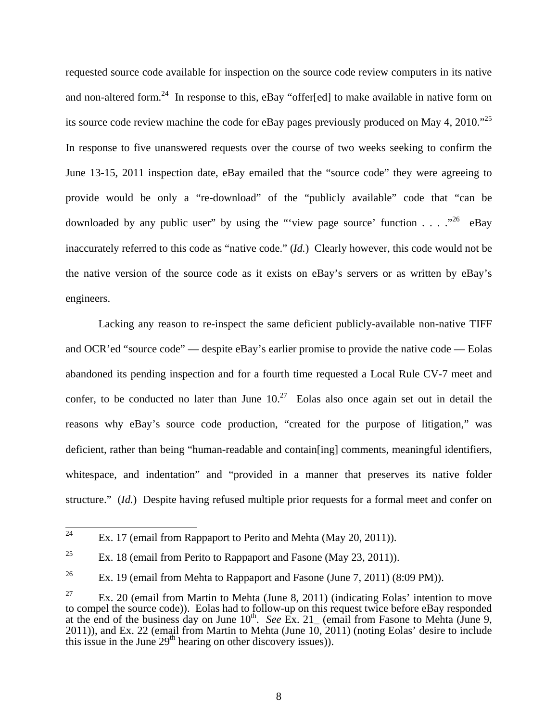requested source code available for inspection on the source code review computers in its native and non-altered form.<sup>24</sup> In response to this, eBay "offer[ed] to make available in native form on its source code review machine the code for eBay pages previously produced on May 4, 2010.<sup> $25$ </sup> In response to five unanswered requests over the course of two weeks seeking to confirm the June 13-15, 2011 inspection date, eBay emailed that the "source code" they were agreeing to provide would be only a "re-download" of the "publicly available" code that "can be downloaded by any public user" by using the "view page source' function . . . ."<sup>26</sup> eBay inaccurately referred to this code as "native code." (*Id.*) Clearly however, this code would not be the native version of the source code as it exists on eBay's servers or as written by eBay's engineers.

Lacking any reason to re-inspect the same deficient publicly-available non-native TIFF and OCR'ed "source code" — despite eBay's earlier promise to provide the native code — Eolas abandoned its pending inspection and for a fourth time requested a Local Rule CV-7 meet and confer, to be conducted no later than June  $10^{27}$  Eolas also once again set out in detail the reasons why eBay's source code production, "created for the purpose of litigation," was deficient, rather than being "human-readable and contain[ing] comments, meaningful identifiers, whitespace, and indentation" and "provided in a manner that preserves its native folder structure." (*Id.*) Despite having refused multiple prior requests for a formal meet and confer on

 $24$ Ex. 17 (email from Rappaport to Perito and Mehta (May 20, 2011)).

<sup>&</sup>lt;sup>25</sup> Ex. 18 (email from Perito to Rappaport and Fasone (May 23, 2011)).

<sup>&</sup>lt;sup>26</sup> Ex. 19 (email from Mehta to Rappaport and Fasone (June 7, 2011) (8:09 PM)).

<sup>&</sup>lt;sup>27</sup> Ex. 20 (email from Martin to Mehta (June 8, 2011) (indicating Eolas' intention to move to compel the source code)). Eolas had to follow-up on this request twice before eBay responded at the end of the business day on June 10<sup>th</sup>. *See* Ex. 21<sub>\_</sub> (email from Fasone to Mehta (June 9, 2011)), and Ex. 22 (email from Martin to Mehta (June 10, 2011) (noting Eolas' desire to include this issue in the June  $29<sup>th</sup>$  hearing on other discovery issues)).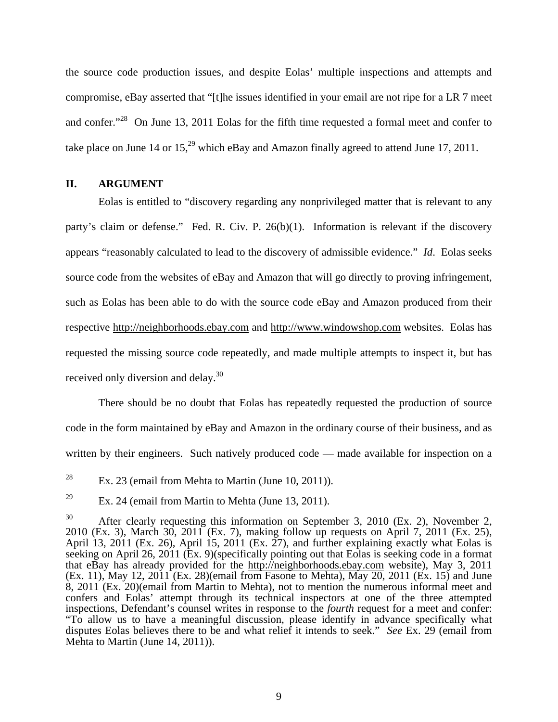the source code production issues, and despite Eolas' multiple inspections and attempts and compromise, eBay asserted that "[t]he issues identified in your email are not ripe for a LR 7 meet and confer.<sup>"28</sup> On June 13, 2011 Eolas for the fifth time requested a formal meet and confer to take place on June 14 or 15,<sup>29</sup> which eBay and Amazon finally agreed to attend June 17, 2011.

### **II. ARGUMENT**

Eolas is entitled to "discovery regarding any nonprivileged matter that is relevant to any party's claim or defense." Fed. R. Civ. P. 26(b)(1). Information is relevant if the discovery appears "reasonably calculated to lead to the discovery of admissible evidence." *Id*. Eolas seeks source code from the websites of eBay and Amazon that will go directly to proving infringement, such as Eolas has been able to do with the source code eBay and Amazon produced from their respective http://neighborhoods.ebay.com and http://www.windowshop.com websites. Eolas has requested the missing source code repeatedly, and made multiple attempts to inspect it, but has received only diversion and delay.<sup>30</sup>

There should be no doubt that Eolas has repeatedly requested the production of source code in the form maintained by eBay and Amazon in the ordinary course of their business, and as written by their engineers. Such natively produced code — made available for inspection on a

 $\overline{28}$ Ex. 23 (email from Mehta to Martin (June 10, 2011)).

<sup>&</sup>lt;sup>29</sup> Ex. 24 (email from Martin to Mehta (June 13, 2011).

 $30$  After clearly requesting this information on September 3, 2010 (Ex. 2), November 2, 2010 (Ex. 3), March 30, 2011 (Ex. 7), making follow up requests on April 7, 2011 (Ex. 25), April 13, 2011 (Ex. 26), April 15, 2011 (Ex. 27), and further explaining exactly what Eolas is seeking on April 26, 2011 (Ex. 9)(specifically pointing out that Eolas is seeking code in a format that eBay has already provided for the http://neighborhoods.ebay.com website), May 3, 2011 (Ex. 11), May 12, 2011 (Ex. 28)(email from Fasone to Mehta), May 20, 2011 (Ex. 15) and June 8, 2011 (Ex. 20)(email from Martin to Mehta), not to mention the numerous informal meet and confers and Eolas' attempt through its technical inspectors at one of the three attempted inspections, Defendant's counsel writes in response to the *fourth* request for a meet and confer: "To allow us to have a meaningful discussion, please identify in advance specifically what disputes Eolas believes there to be and what relief it intends to seek." *See* Ex. 29 (email from Mehta to Martin (June 14, 2011)).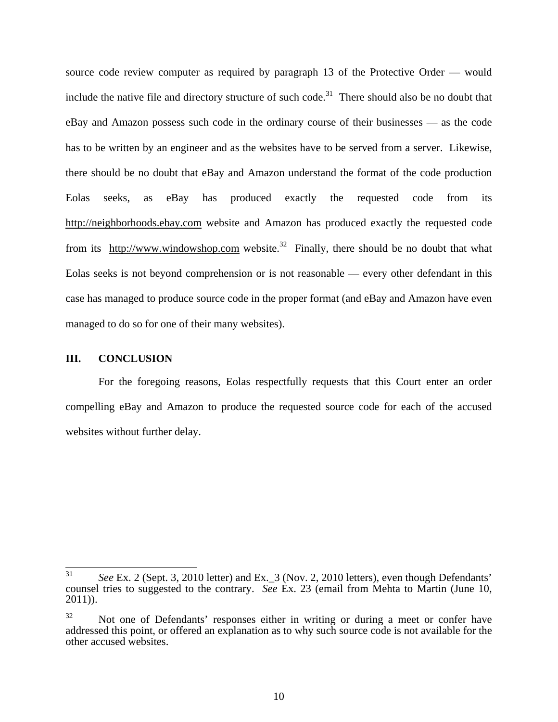source code review computer as required by paragraph 13 of the Protective Order — would include the native file and directory structure of such code.<sup>31</sup> There should also be no doubt that eBay and Amazon possess such code in the ordinary course of their businesses — as the code has to be written by an engineer and as the websites have to be served from a server. Likewise, there should be no doubt that eBay and Amazon understand the format of the code production Eolas seeks, as eBay has produced exactly the requested code from its http://neighborhoods.ebay.com website and Amazon has produced exactly the requested code from its http://www.windowshop.com website.<sup>32</sup> Finally, there should be no doubt that what Eolas seeks is not beyond comprehension or is not reasonable — every other defendant in this case has managed to produce source code in the proper format (and eBay and Amazon have even managed to do so for one of their many websites).

#### **III. CONCLUSION**

For the foregoing reasons, Eolas respectfully requests that this Court enter an order compelling eBay and Amazon to produce the requested source code for each of the accused websites without further delay.

<sup>31</sup> See Ex. 2 (Sept. 3, 2010 letter) and Ex. 3 (Nov. 2, 2010 letters), even though Defendants' counsel tries to suggested to the contrary. *See* Ex. 23 (email from Mehta to Martin (June 10, 2011)).

 $32$  Not one of Defendants' responses either in writing or during a meet or confer have addressed this point, or offered an explanation as to why such source code is not available for the other accused websites.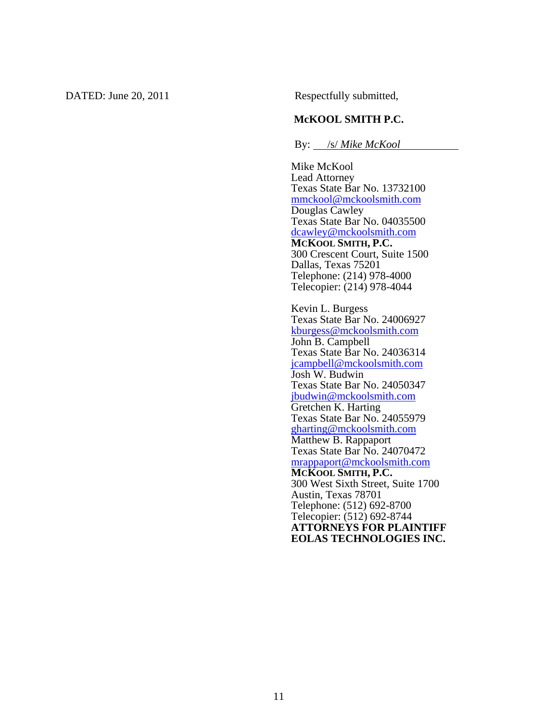DATED: June 20, 2011 Respectfully submitted,

## **McKOOL SMITH P.C.**

By: /s/ *Mike McKool* 

 Mike McKool Lead Attorney Texas State Bar No. 13732100 mmckool@mckoolsmith.com Douglas Cawley Texas State Bar No. 04035500 dcawley@mckoolsmith.com **MCKOOL SMITH, P.C.**  300 Crescent Court, Suite 1500 Dallas, Texas 75201 Telephone: (214) 978-4000 Telecopier: (214) 978-4044

Kevin L. Burgess Texas State Bar No. 24006927 kburgess@mckoolsmith.com John B. Campbell Texas State Bar No. 24036314 jcampbell@mckoolsmith.com Josh W. Budwin Texas State Bar No. 24050347 jbudwin@mckoolsmith.com Gretchen K. Harting Texas State Bar No. 24055979 gharting@mckoolsmith.com Matthew B. Rappaport Texas State Bar No. 24070472 mrappaport@mckoolsmith.com **MCKOOL SMITH, P.C.**  300 West Sixth Street, Suite 1700 Austin, Texas 78701 Telephone: (512) 692-8700 Telecopier: (512) 692-8744 **ATTORNEYS FOR PLAINTIFF EOLAS TECHNOLOGIES INC.**